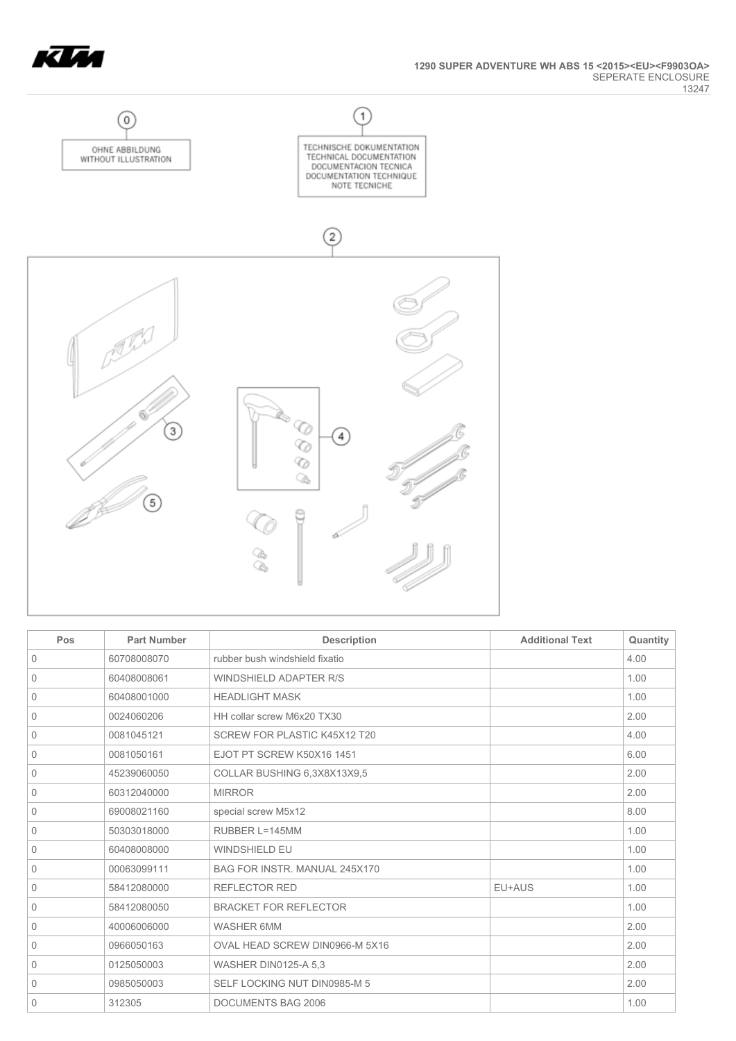



| Pos         | <b>Part Number</b> | <b>Description</b>             | <b>Additional Text</b> | Quantity |
|-------------|--------------------|--------------------------------|------------------------|----------|
| $\mathbf 0$ | 60708008070        | rubber bush windshield fixatio |                        | 4.00     |
| $\Omega$    | 60408008061        | <b>WINDSHIELD ADAPTER R/S</b>  |                        | 1.00     |
| 0           | 60408001000        | <b>HEADLIGHT MASK</b>          |                        | 1.00     |
| $\mathbf 0$ | 0024060206         | HH collar screw M6x20 TX30     |                        | 2.00     |
| 0           | 0081045121         | SCREW FOR PLASTIC K45X12 T20   |                        | 4.00     |
| 0           | 0081050161         | EJOT PT SCREW K50X16 1451      |                        | 6.00     |
| 0           | 45239060050        | COLLAR BUSHING 6,3X8X13X9,5    |                        | 2.00     |
| 0           | 60312040000        | <b>MIRROR</b>                  |                        | 2.00     |
| 0           | 69008021160        | special screw M5x12            |                        | 8.00     |
| 0           | 50303018000        | RUBBER L=145MM                 |                        | 1.00     |
| $\mathbf 0$ | 60408008000        | <b>WINDSHIELD EU</b>           |                        | 1.00     |
| $\mathbf 0$ | 00063099111        | BAG FOR INSTR. MANUAL 245X170  |                        | 1.00     |
| 0           | 58412080000        | <b>REFLECTOR RED</b>           | EU+AUS                 | 1.00     |
| $\mathbf 0$ | 58412080050        | <b>BRACKET FOR REFLECTOR</b>   |                        | 1.00     |
| $\mathbf 0$ | 40006006000        | <b>WASHER 6MM</b>              |                        | 2.00     |
| 0           | 0966050163         | OVAL HEAD SCREW DIN0966-M 5X16 |                        | 2.00     |
| 0           | 0125050003         | WASHER DIN0125-A 5.3           |                        | 2.00     |
| 0           | 0985050003         | SELF LOCKING NUT DIN0985-M 5   |                        | 2.00     |
| 0           | 312305             | <b>DOCUMENTS BAG 2006</b>      |                        | 1.00     |